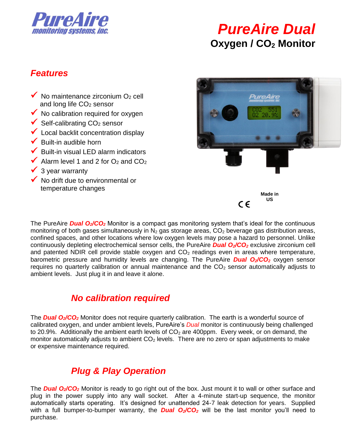

# *PureAire Dual* **Oxygen / CO<sup>2</sup> Monitor**

#### *Features*

- $\checkmark$  No maintenance zirconium O<sub>2</sub> cell and long life CO<sub>2</sub> sensor
- $\checkmark$  No calibration required for oxygen
- $\checkmark$  Self-calibrating CO<sub>2</sub> sensor
- $\checkmark$  Local backlit concentration display
- $\checkmark$  Built-in audible horn
- $\blacktriangleright$  Built-in visual LED alarm indicators
- Alarm level 1 and 2 for  $O_2$  and  $CO_2$
- 3 year warranty
- $\checkmark$  No drift due to environmental or temperature changes



The PureAire **Dual O<sub>2</sub>/CO<sub>2</sub>** Monitor is a compact gas monitoring system that's ideal for the continuous monitoring of both gases simultaneously in  $N_2$  gas storage areas,  $CO_2$  beverage gas distribution areas, confined spaces, and other locations where low oxygen levels may pose a hazard to personnel. Unlike continuously depleting electrochemical sensor cells, the PureAire *Dual O2/CO<sup>2</sup>* exclusive zirconium cell and patented NDIR cell provide stable oxygen and  $CO<sub>2</sub>$  readings even in areas where temperature, barometric pressure and humidity levels are changing. The PureAire *Dual O2/CO<sup>2</sup>* oxygen sensor requires no quarterly calibration or annual maintenance and the  $CO<sub>2</sub>$  sensor automatically adjusts to ambient levels. Just plug it in and leave it alone.

#### *No calibration required*

The *Dual O2/CO<sup>2</sup>* Monitor does not require quarterly calibration. The earth is a wonderful source of calibrated oxygen, and under ambient levels, PureAire's *Dual* monitor is continuously being challenged to 20.9%. Additionally the ambient earth levels of  $CO<sub>2</sub>$  are 400ppm. Every week, or on demand, the monitor automatically adjusts to ambient  $CO<sub>2</sub>$  levels. There are no zero or span adjustments to make or expensive maintenance required.

# *Plug & Play Operation*

The *Dual O2/CO<sup>2</sup>* Monitor is ready to go right out of the box. Just mount it to wall or other surface and plug in the power supply into any wall socket. After a 4-minute start-up sequence, the monitor automatically starts operating. It's designed for unattended 24-7 leak detection for years. Supplied with a full bumper-to-bumper warranty, the *Dual O2/CO<sup>2</sup>* will be the last monitor you'll need to purchase.